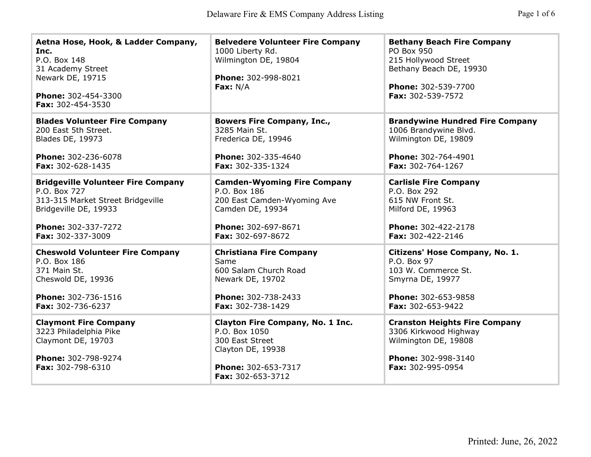| Aetna Hose, Hook, & Ladder Company,<br>Inc.<br>P.O. Box 148<br>31 Academy Street<br>Newark DE, 19715<br>Phone: 302-454-3300<br>Fax: 302-454-3530 | <b>Belvedere Volunteer Fire Company</b><br>1000 Liberty Rd.<br>Wilmington DE, 19804<br>Phone: 302-998-8021<br><b>Fax:</b> $N/A$       | <b>Bethany Beach Fire Company</b><br>PO Box 950<br>215 Hollywood Street<br>Bethany Beach DE, 19930<br>Phone: 302-539-7700<br>Fax: 302-539-7572 |
|--------------------------------------------------------------------------------------------------------------------------------------------------|---------------------------------------------------------------------------------------------------------------------------------------|------------------------------------------------------------------------------------------------------------------------------------------------|
| <b>Blades Volunteer Fire Company</b>                                                                                                             | <b>Bowers Fire Company, Inc.,</b>                                                                                                     | <b>Brandywine Hundred Fire Company</b>                                                                                                         |
| 200 East 5th Street.                                                                                                                             | 3285 Main St.                                                                                                                         | 1006 Brandywine Blvd.                                                                                                                          |
| <b>Blades DE, 19973</b>                                                                                                                          | Frederica DE, 19946                                                                                                                   | Wilmington DE, 19809                                                                                                                           |
| Phone: 302-236-6078                                                                                                                              | Phone: 302-335-4640                                                                                                                   | Phone: 302-764-4901                                                                                                                            |
| Fax: 302-628-1435                                                                                                                                | Fax: 302-335-1324                                                                                                                     | Fax: 302-764-1267                                                                                                                              |
| <b>Bridgeville Volunteer Fire Company</b>                                                                                                        | <b>Camden-Wyoming Fire Company</b>                                                                                                    | <b>Carlisle Fire Company</b>                                                                                                                   |
| P.O. Box 727                                                                                                                                     | P.O. Box 186                                                                                                                          | P.O. Box 292                                                                                                                                   |
| 313-315 Market Street Bridgeville                                                                                                                | 200 East Camden-Wyoming Ave                                                                                                           | 615 NW Front St.                                                                                                                               |
| Bridgeville DE, 19933                                                                                                                            | Camden DE, 19934                                                                                                                      | Milford DE, 19963                                                                                                                              |
| Phone: 302-337-7272                                                                                                                              | Phone: 302-697-8671                                                                                                                   | Phone: 302-422-2178                                                                                                                            |
| Fax: 302-337-3009                                                                                                                                | Fax: 302-697-8672                                                                                                                     | Fax: 302-422-2146                                                                                                                              |
| <b>Cheswold Volunteer Fire Company</b>                                                                                                           | <b>Christiana Fire Company</b>                                                                                                        | Citizens' Hose Company, No. 1.                                                                                                                 |
| P.O. Box 186                                                                                                                                     | Same                                                                                                                                  | P.O. Box 97                                                                                                                                    |
| 371 Main St.                                                                                                                                     | 600 Salam Church Road                                                                                                                 | 103 W. Commerce St.                                                                                                                            |
| Cheswold DE, 19936                                                                                                                               | Newark DE, 19702                                                                                                                      | Smyrna DE, 19977                                                                                                                               |
| Phone: 302-736-1516                                                                                                                              | Phone: 302-738-2433                                                                                                                   | Phone: 302-653-9858                                                                                                                            |
| Fax: 302-736-6237                                                                                                                                | Fax: 302-738-1429                                                                                                                     | <b>Fax: 302-653-9422</b>                                                                                                                       |
| <b>Claymont Fire Company</b><br>3223 Philadelphia Pike<br>Claymont DE, 19703<br>Phone: 302-798-9274<br><b>Fax:</b> $302 - 798 - 6310$            | Clayton Fire Company, No. 1 Inc.<br>P.O. Box 1050<br>300 East Street<br>Clayton DE, 19938<br>Phone: 302-653-7317<br>Fax: 302-653-3712 | <b>Cranston Heights Fire Company</b><br>3306 Kirkwood Highway<br>Wilmington DE, 19808<br>Phone: 302-998-3140<br><b>Fax:</b> $302-995-0954$     |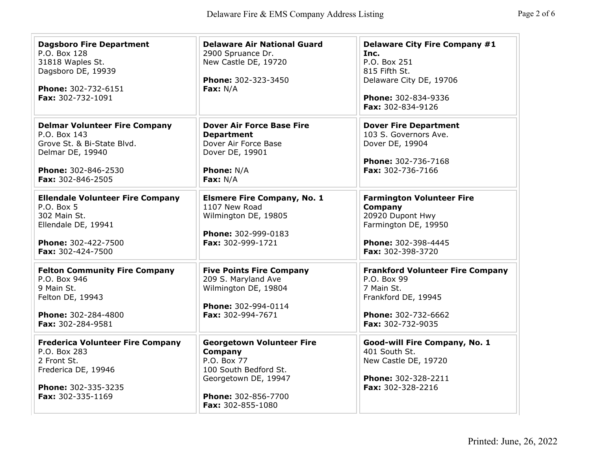| <b>Dagsboro Fire Department</b><br>P.O. Box 128<br>31818 Waples St.<br>Dagsboro DE, 19939<br>Phone: 302-732-6151<br>Fax: 302-732-1091              | <b>Delaware Air National Guard</b><br>2900 Spruance Dr.<br>New Castle DE, 19720<br>Phone: 302-323-3450<br>Fax: $N/A$                                    | <b>Delaware City Fire Company #1</b><br>Inc.<br>P.O. Box 251<br>815 Fifth St.<br>Delaware City DE, 19706<br>Phone: 302-834-9336<br>Fax: 302-834-9126 |
|----------------------------------------------------------------------------------------------------------------------------------------------------|---------------------------------------------------------------------------------------------------------------------------------------------------------|------------------------------------------------------------------------------------------------------------------------------------------------------|
| <b>Delmar Volunteer Fire Company</b><br>P.O. Box 143<br>Grove St. & Bi-State Blvd.<br>Delmar DE, 19940<br>Phone: 302-846-2530<br>Fax: 302-846-2505 | <b>Dover Air Force Base Fire</b><br><b>Department</b><br>Dover Air Force Base<br>Dover DE, 19901<br><b>Phone: N/A</b><br>Fax: $N/A$                     | <b>Dover Fire Department</b><br>103 S. Governors Ave.<br>Dover DE, 19904<br>Phone: 302-736-7168<br>Fax: 302-736-7166                                 |
| <b>Ellendale Volunteer Fire Company</b><br>P.O. Box 5<br>302 Main St.<br>Ellendale DE, 19941<br>Phone: 302-422-7500<br>Fax: 302-424-7500           | <b>Elsmere Fire Company, No. 1</b><br>1107 New Road<br>Wilmington DE, 19805<br>Phone: 302-999-0183<br>Fax: 302-999-1721                                 | <b>Farmington Volunteer Fire</b><br>Company<br>20920 Dupont Hwy<br>Farmington DE, 19950<br>Phone: 302-398-4445<br>Fax: 302-398-3720                  |
| <b>Felton Community Fire Company</b><br>P.O. Box 946<br>9 Main St.<br>Felton DE, 19943<br>Phone: 302-284-4800<br>Fax: 302-284-9581                 | <b>Five Points Fire Company</b><br>209 S. Maryland Ave<br>Wilmington DE, 19804<br>Phone: 302-994-0114<br>Fax: 302-994-7671                              | <b>Frankford Volunteer Fire Company</b><br>P.O. Box 99<br>7 Main St.<br>Frankford DE, 19945<br>Phone: 302-732-6662<br>Fax: 302-732-9035              |
| <b>Frederica Volunteer Fire Company</b><br>P.O. Box 283<br>2 Front St.<br>Frederica DE, 19946<br>Phone: 302-335-3235<br>Fax: 302-335-1169          | <b>Georgetown Volunteer Fire</b><br>Company<br>P.O. Box 77<br>100 South Bedford St.<br>Georgetown DE, 19947<br>Phone: 302-856-7700<br>Fax: 302-855-1080 | Good-will Fire Company, No. 1<br>401 South St.<br>New Castle DE, 19720<br>Phone: 302-328-2211<br>Fax: 302-328-2216                                   |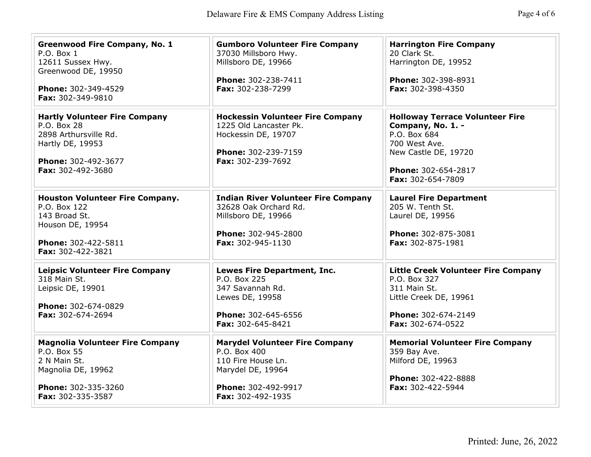| <b>Greenwood Fire Company, No. 1</b><br>$P.O.$ Box $1$<br>12611 Sussex Hwy.<br>Greenwood DE, 19950<br>Phone: 302-349-4529<br>Fax: 302-349-9810 | <b>Gumboro Volunteer Fire Company</b><br>37030 Millsboro Hwy.<br>Millsboro DE, 19966<br>Phone: 302-238-7411<br>Fax: 302-238-7299             | <b>Harrington Fire Company</b><br>20 Clark St.<br>Harrington DE, 19952<br>Phone: 302-398-8931<br>Fax: 302-398-4350                                               |
|------------------------------------------------------------------------------------------------------------------------------------------------|----------------------------------------------------------------------------------------------------------------------------------------------|------------------------------------------------------------------------------------------------------------------------------------------------------------------|
| <b>Hartly Volunteer Fire Company</b><br>P.O. Box 28<br>2898 Arthursville Rd.<br>Hartly DE, 19953<br>Phone: 302-492-3677<br>Fax: 302-492-3680   | <b>Hockessin Volunteer Fire Company</b><br>1225 Old Lancaster Pk.<br>Hockessin DE, 19707<br>Phone: 302-239-7159<br>Fax: 302-239-7692         | <b>Holloway Terrace Volunteer Fire</b><br>Company, No. 1. -<br>P.O. Box 684<br>700 West Ave.<br>New Castle DE, 19720<br>Phone: 302-654-2817<br>Fax: 302-654-7809 |
| <b>Houston Volunteer Fire Company.</b><br>P.O. Box 122<br>143 Broad St.<br>Houson DE, 19954<br>Phone: 302-422-5811<br>Fax: 302-422-3821        | <b>Indian River Volunteer Fire Company</b><br>32628 Oak Orchard Rd.<br>Millsboro DE, 19966<br>Phone: 302-945-2800<br>Fax: 302-945-1130       | <b>Laurel Fire Department</b><br>205 W. Tenth St.<br>Laurel DE, 19956<br>Phone: 302-875-3081<br>Fax: 302-875-1981                                                |
| <b>Leipsic Volunteer Fire Company</b><br>318 Main St.<br>Leipsic DE, 19901<br>Phone: 302-674-0829<br>Fax: 302-674-2694                         | Lewes Fire Department, Inc.<br>P.O. Box 225<br>347 Savannah Rd.<br>Lewes DE, 19958<br>Phone: 302-645-6556<br>Fax: 302-645-8421               | <b>Little Creek Volunteer Fire Company</b><br>P.O. Box 327<br>311 Main St.<br>Little Creek DE, 19961<br>Phone: 302-674-2149<br>Fax: 302-674-0522                 |
| <b>Magnolia Volunteer Fire Company</b><br>P.O. Box 55<br>2 N Main St.<br>Magnolia DE, 19962<br>Phone: 302-335-3260<br>Fax: 302-335-3587        | <b>Marydel Volunteer Fire Company</b><br>P.O. Box 400<br>110 Fire House Ln.<br>Marydel DE, 19964<br>Phone: 302-492-9917<br>Fax: 302-492-1935 | <b>Memorial Volunteer Fire Company</b><br>359 Bay Ave.<br>Milford DE, 19963<br>Phone: 302-422-8888<br>Fax: 302-422-5944                                          |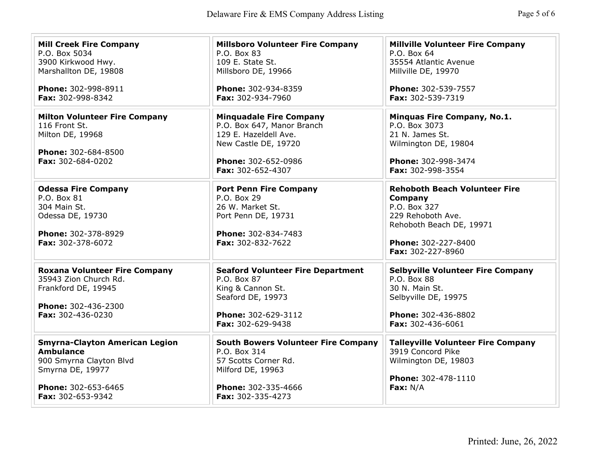| <b>Mill Creek Fire Company</b><br>P.O. Box 5034<br>3900 Kirkwood Hwy.<br>Marshallton DE, 19808<br>Phone: 302-998-8911<br>Fax: 302-998-8342           | <b>Millsboro Volunteer Fire Company</b><br>P.O. Box 83<br>109 E. State St.<br>Millsboro DE, 19966<br>Phone: 302-934-8359<br>Fax: 302-934-7960             | <b>Millville Volunteer Fire Company</b><br>P.O. Box 64<br>35554 Atlantic Avenue<br>Millville DE, 19970<br>Phone: 302-539-7557<br>Fax: 302-539-7319           |
|------------------------------------------------------------------------------------------------------------------------------------------------------|-----------------------------------------------------------------------------------------------------------------------------------------------------------|--------------------------------------------------------------------------------------------------------------------------------------------------------------|
| <b>Milton Volunteer Fire Company</b><br>116 Front St.<br>Milton DE, 19968<br>Phone: 302-684-8500<br>Fax: 302-684-0202                                | <b>Minguadale Fire Company</b><br>P.O. Box 647, Manor Branch<br>129 E. Hazeldell Ave.<br>New Castle DE, 19720<br>Phone: 302-652-0986<br>Fax: 302-652-4307 | Minquas Fire Company, No.1.<br>P.O. Box 3073<br>21 N. James St.<br>Wilmington DE, 19804<br>Phone: 302-998-3474<br>Fax: 302-998-3554                          |
| <b>Odessa Fire Company</b><br>P.O. Box 81<br>304 Main St.<br>Odessa DE, 19730<br>Phone: 302-378-8929<br>Fax: 302-378-6072                            | <b>Port Penn Fire Company</b><br>P.O. Box 29<br>26 W. Market St.<br>Port Penn DE, 19731<br>Phone: 302-834-7483<br>Fax: 302-832-7622                       | <b>Rehoboth Beach Volunteer Fire</b><br>Company<br>P.O. Box 327<br>229 Rehoboth Ave.<br>Rehoboth Beach DE, 19971<br>Phone: 302-227-8400<br>Fax: 302-227-8960 |
| <b>Roxana Volunteer Fire Company</b><br>35943 Zion Church Rd.<br>Frankford DE, 19945<br>Phone: 302-436-2300<br>Fax: 302-436-0230                     | <b>Seaford Volunteer Fire Department</b><br>P.O. Box 87<br>King & Cannon St.<br>Seaford DE, 19973<br>Phone: 302-629-3112<br>Fax: 302-629-9438             | <b>Selbyville Volunteer Fire Company</b><br>P.O. Box 88<br>30 N. Main St.<br>Selbyville DE, 19975<br>Phone: 302-436-8802<br>Fax: 302-436-6061                |
| <b>Smyrna-Clayton American Legion</b><br><b>Ambulance</b><br>900 Smyrna Clayton Blvd<br>Smyrna DE, 19977<br>Phone: 302-653-6465<br>Fax: 302-653-9342 | <b>South Bowers Volunteer Fire Company</b><br>P.O. Box 314<br>57 Scotts Corner Rd.<br>Milford DE, 19963<br>Phone: 302-335-4666<br>Fax: 302-335-4273       | <b>Talleyville Volunteer Fire Company</b><br>3919 Concord Pike<br>Wilmington DE, 19803<br>Phone: 302-478-1110<br>Fax: $N/A$                                  |